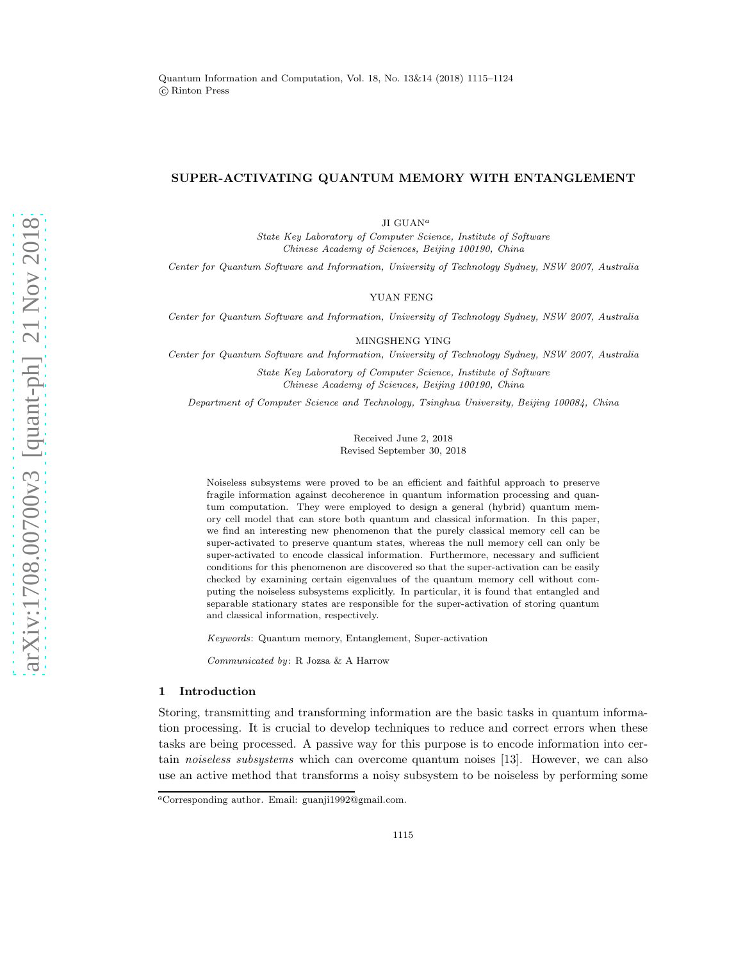# SUPER-ACTIVATING QUANTUM MEMORY WITH ENTANGLEMENT

JI $\text{GUAN}^a$ 

State Key Laboratory of Computer Science, Institute of Software Chinese Academy of Sciences, Beijing 100190, China

Center for Quantum Software and Information, University of Technology Sydney, NSW 2007, Australia

## YUAN FENG

Center for Quantum Software and Information, University of Technology Sydney, NSW 2007, Australia

MINGSHENG YING

Center for Quantum Software and Information, University of Technology Sydney, NSW 2007, Australia

State Key Laboratory of Computer Science, Institute of Software Chinese Academy of Sciences, Beijing 100190, China

Department of Computer Science and Technology, Tsinghua University, Beijing 100084, China

Received June 2, 2018 Revised September 30, 2018

Noiseless subsystems were proved to be an efficient and faithful approach to preserve fragile information against decoherence in quantum information processing and quantum computation. They were employed to design a general (hybrid) quantum memory cell model that can store both quantum and classical information. In this paper, we find an interesting new phenomenon that the purely classical memory cell can be super-activated to preserve quantum states, whereas the null memory cell can only be super-activated to encode classical information. Furthermore, necessary and sufficient conditions for this phenomenon are discovered so that the super-activation can be easily checked by examining certain eigenvalues of the quantum memory cell without computing the noiseless subsystems explicitly. In particular, it is found that entangled and separable stationary states are responsible for the super-activation of storing quantum and classical information, respectively.

Keywords: Quantum memory, Entanglement, Super-activation

Communicated by: R Jozsa & A Harrow

### 1 Introduction

Storing, transmitting and transforming information are the basic tasks in quantum information processing. It is crucial to develop techniques to reduce and correct errors when these tasks are being processed. A passive way for this purpose is to encode information into certain *noiseless subsystems* which can overcome quantum noises [13]. However, we can also use an active method that transforms a noisy subsystem to be noiseless by performing some

<sup>a</sup>Corresponding author. Email: guanji1992@gmail.com.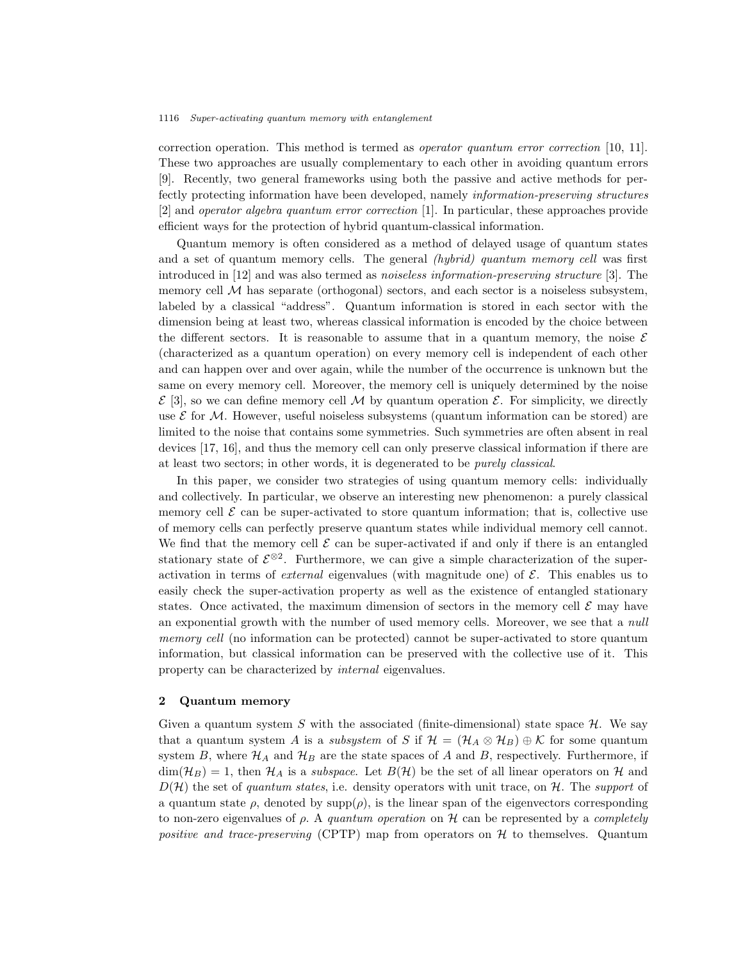correction operation. This method is termed as *operator quantum error correction* [10, 11]. These two approaches are usually complementary to each other in avoiding quantum errors [9]. Recently, two general frameworks using both the passive and active methods for perfectly protecting information have been developed, namely *information-preserving structures* [2] and *operator algebra quantum error correction* [1]. In particular, these approaches provide efficient ways for the protection of hybrid quantum-classical information.

Quantum memory is often considered as a method of delayed usage of quantum states and a set of quantum memory cells. The general *(hybrid) quantum memory cell* was first introduced in [12] and was also termed as *noiseless information-preserving structure* [3]. The memory cell  $\mathcal M$  has separate (orthogonal) sectors, and each sector is a noiseless subsystem, labeled by a classical "address". Quantum information is stored in each sector with the dimension being at least two, whereas classical information is encoded by the choice between the different sectors. It is reasonable to assume that in a quantum memory, the noise  $\mathcal E$ (characterized as a quantum operation) on every memory cell is independent of each other and can happen over and over again, while the number of the occurrence is unknown but the same on every memory cell. Moreover, the memory cell is uniquely determined by the noise  $\mathcal{E}$  [3], so we can define memory cell M by quantum operation  $\mathcal{E}$ . For simplicity, we directly use  $\mathcal E$  for M. However, useful noiseless subsystems (quantum information can be stored) are limited to the noise that contains some symmetries. Such symmetries are often absent in real devices [17, 16], and thus the memory cell can only preserve classical information if there are at least two sectors; in other words, it is degenerated to be *purely classical*.

In this paper, we consider two strategies of using quantum memory cells: individually and collectively. In particular, we observe an interesting new phenomenon: a purely classical memory cell  $\mathcal E$  can be super-activated to store quantum information; that is, collective use of memory cells can perfectly preserve quantum states while individual memory cell cannot. We find that the memory cell  $\mathcal E$  can be super-activated if and only if there is an entangled stationary state of  $\mathcal{E}^{\otimes 2}$ . Furthermore, we can give a simple characterization of the superactivation in terms of *external* eigenvalues (with magnitude one) of  $\mathcal{E}$ . This enables us to easily check the super-activation property as well as the existence of entangled stationary states. Once activated, the maximum dimension of sectors in the memory cell  $\mathcal E$  may have an exponential growth with the number of used memory cells. Moreover, we see that a *null memory cell* (no information can be protected) cannot be super-activated to store quantum information, but classical information can be preserved with the collective use of it. This property can be characterized by *internal* eigenvalues.

# 2 Quantum memory

Given a quantum system S with the associated (finite-dimensional) state space  $\mathcal{H}$ . We say that a quantum system A is a *subsystem* of S if  $\mathcal{H} = (\mathcal{H}_A \otimes \mathcal{H}_B) \oplus \mathcal{K}$  for some quantum system B, where  $\mathcal{H}_A$  and  $\mathcal{H}_B$  are the state spaces of A and B, respectively. Furthermore, if  $\dim(\mathcal{H}_B) = 1$ , then  $\mathcal{H}_A$  is a *subspace*. Let  $B(\mathcal{H})$  be the set of all linear operators on H and  $D(\mathcal{H})$  the set of *quantum states*, i.e. density operators with unit trace, on  $\mathcal{H}$ . The *support* of a quantum state  $\rho$ , denoted by  $\text{supp}(\rho)$ , is the linear span of the eigenvectors corresponding to non-zero eigenvalues of ρ. A *quantum operation* on H can be represented by a *completely positive and trace-preserving* (CPTP) map from operators on  $H$  to themselves. Quantum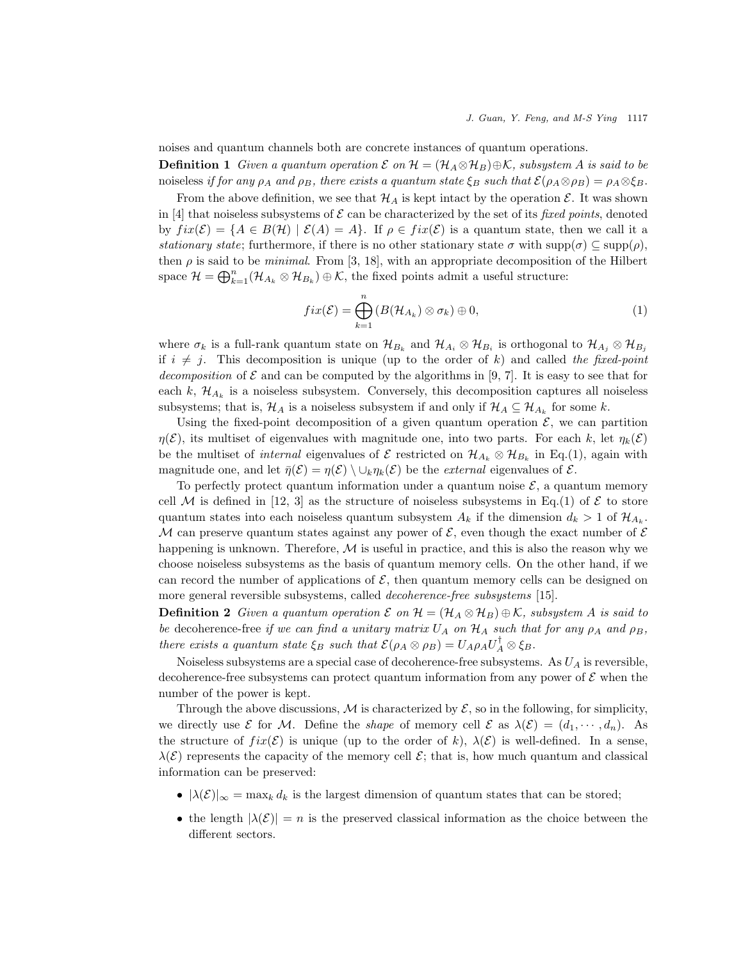noises and quantum channels both are concrete instances of quantum operations.

**Definition 1** Given a quantum operation  $\mathcal{E}$  on  $\mathcal{H} = (\mathcal{H}_A \otimes \mathcal{H}_B) \oplus \mathcal{K}$ , subsystem A is said to be noiseless *if for any*  $\rho_A$  *and*  $\rho_B$ *, there exists a quantum state*  $\xi_B$  *such that*  $\mathcal{E}(\rho_A \otimes \rho_B) = \rho_A \otimes \xi_B$ .

From the above definition, we see that  $\mathcal{H}_A$  is kept intact by the operation  $\mathcal{E}$ . It was shown in [4] that noiseless subsystems of  $\mathcal E$  can be characterized by the set of its *fixed points*, denoted by  $fix(\mathcal{E}) = \{A \in B(\mathcal{H}) \mid \mathcal{E}(A) = A\}$ . If  $\rho \in fix(\mathcal{E})$  is a quantum state, then we call it a *stationary state*; furthermore, if there is no other stationary state  $\sigma$  with supp $(\sigma) \subset \text{supp}(\rho)$ , then  $\rho$  is said to be *minimal*. From [3, 18], with an appropriate decomposition of the Hilbert space  $\mathcal{H} = \bigoplus_{k=1}^n (\mathcal{H}_{A_k} \otimes \mathcal{H}_{B_k}) \oplus \mathcal{K}$ , the fixed points admit a useful structure:

$$
fix(\mathcal{E}) = \bigoplus_{k=1}^{n} \left( B(\mathcal{H}_{A_k}) \otimes \sigma_k \right) \oplus 0, \tag{1}
$$

where  $\sigma_k$  is a full-rank quantum state on  $\mathcal{H}_{B_k}$  and  $\mathcal{H}_{A_i} \otimes \mathcal{H}_{B_i}$  is orthogonal to  $\mathcal{H}_{A_j} \otimes \mathcal{H}_{B_j}$ if  $i \neq j$ . This decomposition is unique (up to the order of k) and called the fixed-point *decomposition* of  $\mathcal E$  and can be computed by the algorithms in [9, 7]. It is easy to see that for each  $k$ ,  $\mathcal{H}_{A_k}$  is a noiseless subsystem. Conversely, this decomposition captures all noiseless subsystems; that is,  $\mathcal{H}_A$  is a noiseless subsystem if and only if  $\mathcal{H}_A \subseteq \mathcal{H}_{A_k}$  for some k.

Using the fixed-point decomposition of a given quantum operation  $\mathcal{E}$ , we can partition  $\eta(\mathcal{E})$ , its multiset of eigenvalues with magnitude one, into two parts. For each k, let  $\eta_k(\mathcal{E})$ be the multiset of *internal* eigenvalues of  $\mathcal{E}$  restricted on  $\mathcal{H}_{A_k} \otimes \mathcal{H}_{B_k}$  in Eq.(1), again with magnitude one, and let  $\bar{\eta}(\mathcal{E}) = \eta(\mathcal{E}) \setminus \cup_k \eta_k(\mathcal{E})$  be the *external* eigenvalues of  $\mathcal{E}$ .

To perfectly protect quantum information under a quantum noise  $\mathcal{E}$ , a quantum memory cell M is defined in [12, 3] as the structure of noiseless subsystems in Eq.(1) of  $\mathcal E$  to store quantum states into each noiseless quantum subsystem  $A_k$  if the dimension  $d_k > 1$  of  $\mathcal{H}_{A_k}$ . M can preserve quantum states against any power of  $\mathcal{E}$ , even though the exact number of  $\mathcal{E}$ happening is unknown. Therefore,  $M$  is useful in practice, and this is also the reason why we choose noiseless subsystems as the basis of quantum memory cells. On the other hand, if we can record the number of applications of  $\mathcal{E}$ , then quantum memory cells can be designed on more general reversible subsystems, called *decoherence-free subsystems* [15].

**Definition 2** Given a quantum operation  $\mathcal{E}$  on  $\mathcal{H} = (\mathcal{H}_A \otimes \mathcal{H}_B) \oplus \mathcal{K}$ , subsystem A is said to *be* decoherence-free *if we can find a unitary matrix*  $U_A$  *on*  $\mathcal{H}_A$  *such that for any*  $\rho_A$  *and*  $\rho_B$ *, there exists a quantum state*  $\xi_B$  *such that*  $\mathcal{E}(\rho_A \otimes \rho_B) = U_A \rho_A U_A^{\dagger} \otimes \xi_B$ .

Noiseless subsystems are a special case of decoherence-free subsystems. As  $U_A$  is reversible, decoherence-free subsystems can protect quantum information from any power of  $\mathcal E$  when the number of the power is kept.

Through the above discussions, M is characterized by  $\mathcal{E}$ , so in the following, for simplicity, we directly use  $\mathcal E$  for M. Define the *shape* of memory cell  $\mathcal E$  as  $\lambda(\mathcal E) = (d_1, \dots, d_n)$ . As the structure of  $fix(\mathcal{E})$  is unique (up to the order of k),  $\lambda(\mathcal{E})$  is well-defined. In a sense,  $\lambda(\mathcal{E})$  represents the capacity of the memory cell  $\mathcal{E}$ ; that is, how much quantum and classical information can be preserved:

- $|\lambda(\mathcal{E})|_{\infty} = \max_k d_k$  is the largest dimension of quantum states that can be stored;
- the length  $|\lambda(\mathcal{E})| = n$  is the preserved classical information as the choice between the different sectors.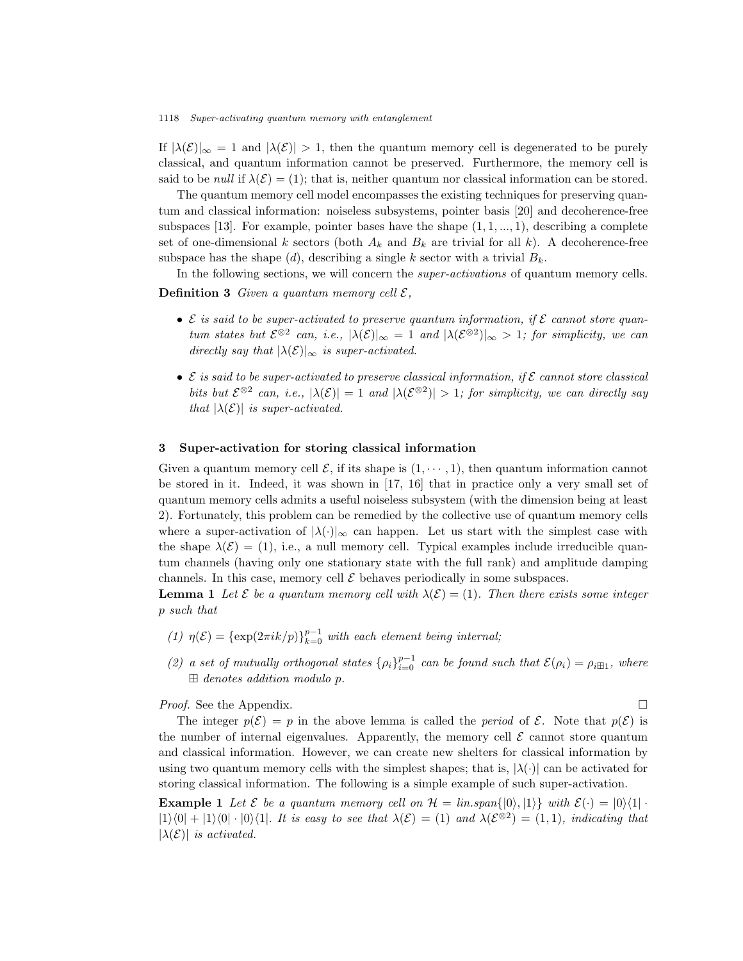If  $|\lambda(\mathcal{E})|_{\infty} = 1$  and  $|\lambda(\mathcal{E})| > 1$ , then the quantum memory cell is degenerated to be purely classical, and quantum information cannot be preserved. Furthermore, the memory cell is said to be *null* if  $\lambda(\mathcal{E}) = (1)$ ; that is, neither quantum nor classical information can be stored.

The quantum memory cell model encompasses the existing techniques for preserving quantum and classical information: noiseless subsystems, pointer basis [20] and decoherence-free subspaces [13]. For example, pointer bases have the shape  $(1, 1, \ldots, 1)$ , describing a complete set of one-dimensional k sectors (both  $A_k$  and  $B_k$  are trivial for all k). A decoherence-free subspace has the shape (d), describing a single k sector with a trivial  $B_k$ .

In the following sections, we will concern the *super-activations* of quantum memory cells. **Definition 3** Given a quantum memory cell  $\mathcal{E}$ ,

- $\bullet$  E is said to be super-activated to preserve quantum information, if  $\mathcal E$  cannot store quan*tum states but*  $\mathcal{E}^{\otimes 2}$  *can, i.e.,*  $|\lambda(\mathcal{E})|_{\infty} = 1$  *and*  $|\lambda(\mathcal{E}^{\otimes 2})|_{\infty} > 1$ *; for simplicity, we can directly say that*  $|\lambda(\mathcal{E})|_{\infty}$  *is super-activated.*
- E *is said to be super-activated to preserve classical information, if* E *cannot store classical bits but*  $\mathcal{E}^{\otimes 2}$  *can, i.e.,*  $|\lambda(\mathcal{E})| = 1$  *and*  $|\lambda(\mathcal{E}^{\otimes 2})| > 1$ *; for simplicity, we can directly say that*  $|\lambda(\mathcal{E})|$  *is super-activated.*

# 3 Super-activation for storing classical information

Given a quantum memory cell  $\mathcal{E}$ , if its shape is  $(1, \dots, 1)$ , then quantum information cannot be stored in it. Indeed, it was shown in [17, 16] that in practice only a very small set of quantum memory cells admits a useful noiseless subsystem (with the dimension being at least 2). Fortunately, this problem can be remedied by the collective use of quantum memory cells where a super-activation of  $|\lambda(\cdot)|_{\infty}$  can happen. Let us start with the simplest case with the shape  $\lambda(\mathcal{E}) = (1)$ , i.e., a null memory cell. Typical examples include irreducible quantum channels (having only one stationary state with the full rank) and amplitude damping channels. In this case, memory cell  $\mathcal E$  behaves periodically in some subspaces.

**Lemma 1** Let  $\mathcal{E}$  be a quantum memory cell with  $\lambda(\mathcal{E}) = (1)$ . Then there exists some integer p *such that*

- (1)  $\eta(\mathcal{E}) = {\exp(2\pi i k/p)}_{k=0}^{p-1}$  *with each element being internal*;
- (2) a set of mutually orthogonal states  $\{\rho_i\}_{i=0}^{p-1}$  can be found such that  $\mathcal{E}(\rho_i) = \rho_i \boxplus_1$ , where ⊞ *denotes addition modulo* p*.*

*Proof.* See the Appendix. □

The integer  $p(\mathcal{E}) = p$  in the above lemma is called the *period* of  $\mathcal{E}$ . Note that  $p(\mathcal{E})$  is the number of internal eigenvalues. Apparently, the memory cell  $\mathcal E$  cannot store quantum and classical information. However, we can create new shelters for classical information by using two quantum memory cells with the simplest shapes; that is,  $|\lambda(\cdot)|$  can be activated for storing classical information. The following is a simple example of such super-activation.

**Example 1** Let  $\mathcal E$  be a quantum memory cell on  $\mathcal H = \lim \mathrm{span}\{|0\rangle, |1\rangle\}$  with  $\mathcal E(\cdot) = |0\rangle\langle 1| \cdot$  $|1\rangle\langle 0| + |1\rangle\langle 0| \cdot |0\rangle\langle 1|$ . It is easy to see that  $\lambda(\mathcal{E}) = (1)$  and  $\lambda(\mathcal{E}^{\otimes 2}) = (1, 1)$ *, indicating that*  $|\lambda(\mathcal{E})|$  *is activated.*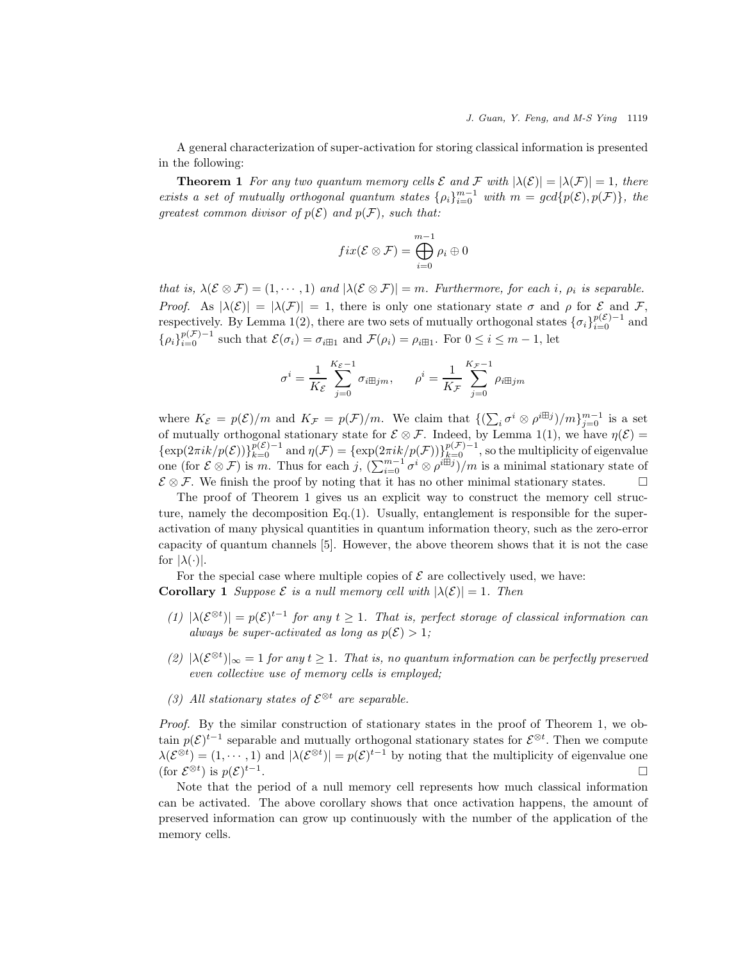A general characterization of super-activation for storing classical information is presented in the following:

**Theorem 1** *For any two quantum memory cells*  $\mathcal{E}$  *and*  $\mathcal{F}$  *with*  $|\lambda(\mathcal{E})| = |\lambda(\mathcal{F})| = 1$ *, there exists a set of mutually orthogonal quantum states*  $\{\rho_i\}_{i=0}^{m-1}$  with  $m = \text{gcd}\{p(\mathcal{E}), p(\mathcal{F})\}$ , the *greatest common divisor of*  $p(\mathcal{E})$  *and*  $p(\mathcal{F})$ *, such that:* 

$$
fix(\mathcal{E}\otimes\mathcal{F})=\bigoplus_{i=0}^{m-1}\rho_i\oplus 0
$$

*that is,*  $\lambda(\mathcal{E} \otimes \mathcal{F}) = (1, \dots, 1)$  *and*  $|\lambda(\mathcal{E} \otimes \mathcal{F})| = m$ *. Furthermore, for each i,*  $\rho_i$  *is separable. Proof.* As  $|\lambda(\mathcal{E})| = |\lambda(\mathcal{F})| = 1$ , there is only one stationary state  $\sigma$  and  $\rho$  for  $\mathcal E$  and  $\mathcal F$ , respectively. By Lemma 1(2), there are two sets of mutually orthogonal states  $\{\sigma_i\}_{i=0}^{p(\mathcal{E})-1}$  and  $\{\rho_i\}_{i=0}^{p(\mathcal{F})-1}$  such that  $\mathcal{E}(\sigma_i) = \sigma_{i \boxplus 1}$  and  $\mathcal{F}(\rho_i) = \rho_{i \boxplus 1}$ . For  $0 \le i \le m-1$ , let

$$
\sigma^i = \frac{1}{K_{\mathcal{E}}} \sum_{j=0}^{K_{\mathcal{E}}-1} \sigma_{i \boxplus j m}, \qquad \rho^i = \frac{1}{K_{\mathcal{F}}} \sum_{j=0}^{K_{\mathcal{F}}-1} \rho_{i \boxplus j m}
$$

where  $K_{\mathcal{E}} = p(\mathcal{E})/m$  and  $K_{\mathcal{F}} = p(\mathcal{F})/m$ . We claim that  $\{(\sum_i \sigma^i \otimes \rho^{i\boxplus j})/m\}_{j=0}^{m-1}$  is a set of mutually orthogonal stationary state for  $\mathcal{E} \otimes \mathcal{F}$ . Indeed, by Lemma 1(1), we have  $\eta(\mathcal{E}) =$  $\{\exp(2\pi i k/p(\mathcal{E}))\}_{k=0}^{p(\mathcal{E})-1}$  and  $\eta(\mathcal{F}) = \{\exp(2\pi i k/p(\mathcal{F}))\}_{k=0}^{p(\mathcal{F})-1}$ , so the multiplicity of eigenvalue one (for  $\mathcal{E} \otimes \mathcal{F}$ ) is m. Thus for each j,  $(\sum_{i=0}^{m-1} \sigma^i \otimes \rho^{i\boxplus j})/m$  is a minimal stationary state of  $\mathcal{E} \otimes \mathcal{F}$ . We finish the proof by noting that it has no other minimal stationary states.

The proof of Theorem 1 gives us an explicit way to construct the memory cell structure, namely the decomposition Eq.(1). Usually, entanglement is responsible for the superactivation of many physical quantities in quantum information theory, such as the zero-error capacity of quantum channels [5]. However, the above theorem shows that it is not the case for  $|\lambda(\cdot)|$ .

For the special case where multiple copies of  $\mathcal E$  are collectively used, we have: **Corollary 1** *Suppose*  $\mathcal{E}$  *is a null memory cell with*  $|\lambda(\mathcal{E})| = 1$ *. Then* 

- $(1)$   $|\lambda(\mathcal{E}^{\otimes t})| = p(\mathcal{E})^{t-1}$  for any  $t \geq 1$ . That is, perfect storage of classical information can *always be super-activated as long as*  $p(\mathcal{E}) > 1$ ;
- $(2)$   $|\lambda(\mathcal{E}^{\otimes t})|_{\infty} = 1$  *for any*  $t \geq 1$ *. That is, no quantum information can be perfectly preserved even collective use of memory cells is employed;*
- *(3) All stationary states of*  $\mathcal{E}^{\otimes t}$  *are separable.*

*Proof.* By the similar construction of stationary states in the proof of Theorem 1, we obtain  $p(\mathcal{E})^{t-1}$  separable and mutually orthogonal stationary states for  $\mathcal{E}^{\otimes t}$ . Then we compute  $\lambda(\mathcal{E}^{\otimes t}) = (1, \dots, 1)$  and  $|\lambda(\mathcal{E}^{\otimes t})| = p(\mathcal{E})^{t-1}$  by noting that the multiplicity of eigenvalue one (for  $\mathcal{E}^{\otimes t}$ ) is  $p(\mathcal{E})^{t-1}$ .

Note that the period of a null memory cell represents how much classical information can be activated. The above corollary shows that once activation happens, the amount of preserved information can grow up continuously with the number of the application of the memory cells.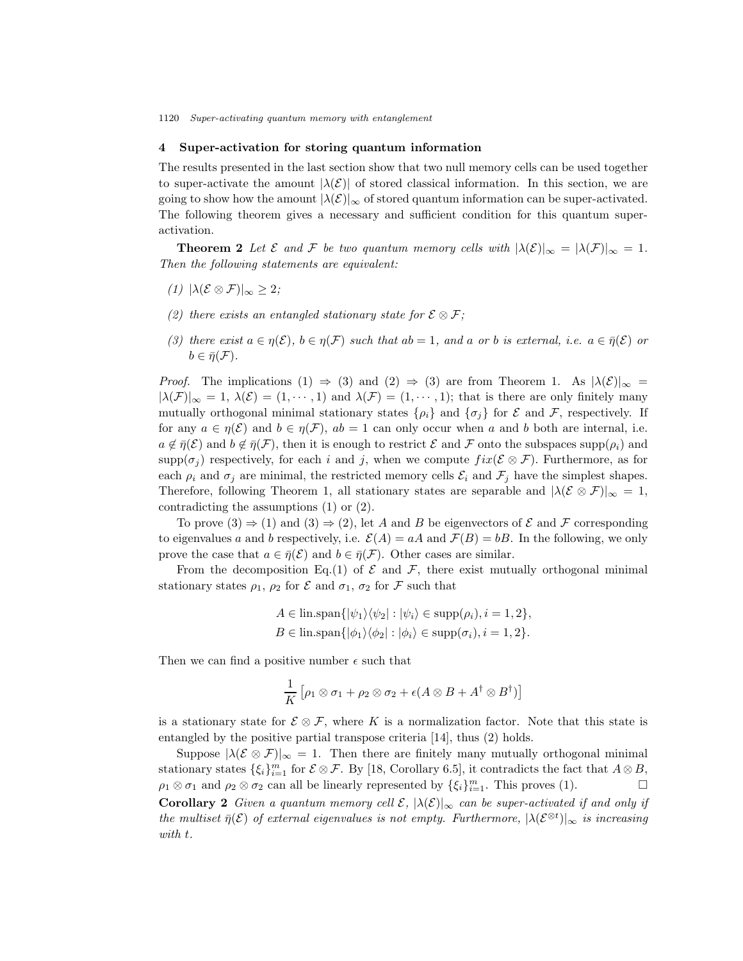# 4 Super-activation for storing quantum information

The results presented in the last section show that two null memory cells can be used together to super-activate the amount  $|\lambda(\mathcal{E})|$  of stored classical information. In this section, we are going to show how the amount  $|\lambda(\mathcal{E})|_{\infty}$  of stored quantum information can be super-activated. The following theorem gives a necessary and sufficient condition for this quantum superactivation.

**Theorem 2** Let  $\mathcal E$  and  $\mathcal F$  be two quantum memory cells with  $|\lambda(\mathcal E)|_{\infty} = |\lambda(\mathcal F)|_{\infty} = 1$ . *Then the following statements are equivalent:*

- $(1)$  |λ(**ε** ⊗ **F**)|<sub>∞</sub> > 2*;*
- *(2) there exists an entangled stationary state for*  $\mathcal{E} \otimes \mathcal{F}$ ;
- *(3) there exist*  $a \in \eta(\mathcal{E})$ *,*  $b \in \eta(\mathcal{F})$  *such that*  $ab = 1$ *, and* a *or b is external, i.e.*  $a \in \overline{\eta}(\mathcal{E})$  *or*  $b \in \bar{\eta}(\mathcal{F}).$

*Proof.* The implications (1)  $\Rightarrow$  (3) and (2)  $\Rightarrow$  (3) are from Theorem 1. As  $|\lambda(\mathcal{E})|_{\infty} =$  $|\lambda(\mathcal{F})|_{\infty} = 1, \lambda(\mathcal{E}) = (1, \dots, 1)$  and  $\lambda(\mathcal{F}) = (1, \dots, 1)$ ; that is there are only finitely many mutually orthogonal minimal stationary states  $\{\rho_i\}$  and  $\{\sigma_j\}$  for  $\mathcal E$  and  $\mathcal F$ , respectively. If for any  $a \in \eta(\mathcal{E})$  and  $b \in \eta(\mathcal{F})$ ,  $ab = 1$  can only occur when a and b both are internal, i.e.  $a \notin \overline{\eta}(\mathcal{E})$  and  $b \notin \overline{\eta}(\mathcal{F})$ , then it is enough to restrict  $\mathcal E$  and  $\mathcal F$  onto the subspaces supp $(\rho_i)$  and  $\text{supp}(\sigma_j)$  respectively, for each i and j, when we compute  $fix(\mathcal{E} \otimes \mathcal{F})$ . Furthermore, as for each  $\rho_i$  and  $\sigma_j$  are minimal, the restricted memory cells  $\mathcal{E}_i$  and  $\mathcal{F}_j$  have the simplest shapes. Therefore, following Theorem 1, all stationary states are separable and  $|\lambda(\mathcal{E} \otimes \mathcal{F})|_{\infty} = 1$ , contradicting the assumptions (1) or (2).

To prove  $(3) \Rightarrow (1)$  and  $(3) \Rightarrow (2)$ , let A and B be eigenvectors of E and F corresponding to eigenvalues a and b respectively, i.e.  $\mathcal{E}(A) = aA$  and  $\mathcal{F}(B) = bB$ . In the following, we only prove the case that  $a \in \overline{\eta}(\mathcal{E})$  and  $b \in \overline{\eta}(\mathcal{F})$ . Other cases are similar.

From the decomposition Eq.(1) of  $\mathcal E$  and  $\mathcal F$ , there exist mutually orthogonal minimal stationary states  $\rho_1$ ,  $\rho_2$  for  $\mathcal E$  and  $\sigma_1$ ,  $\sigma_2$  for  $\mathcal F$  such that

$$
A \in \text{lin.span}\{|\psi_1\rangle\langle\psi_2| : |\psi_i\rangle \in \text{supp}(\rho_i), i = 1, 2\},
$$
  

$$
B \in \text{lin.span}\{|\phi_1\rangle\langle\phi_2| : |\phi_i\rangle \in \text{supp}(\sigma_i), i = 1, 2\}.
$$

Then we can find a positive number  $\epsilon$  such that

$$
\frac{1}{K} \left[ \rho_1 \otimes \sigma_1 + \rho_2 \otimes \sigma_2 + \epsilon (A \otimes B + A^{\dagger} \otimes B^{\dagger}) \right]
$$

is a stationary state for  $\mathcal{E} \otimes \mathcal{F}$ , where K is a normalization factor. Note that this state is entangled by the positive partial transpose criteria [14], thus (2) holds.

Suppose  $|\lambda(\mathcal{E} \otimes \mathcal{F})|_{\infty} = 1$ . Then there are finitely many mutually orthogonal minimal stationary states  $\{\xi_i\}_{i=1}^m$  for  $\mathcal{E} \otimes \mathcal{F}$ . By [18, Corollary 6.5], it contradicts the fact that  $A \otimes B$ ,  $\rho_1 \otimes \sigma_1$  and  $\rho_2 \otimes \sigma_2$  can all be linearly represented by  $\{\xi_i\}_{i=1}^m$ . This proves (1). **Corollary 2** *Given a quantum memory cell*  $\mathcal{E}$ ,  $|\lambda(\mathcal{E})|_{\infty}$  *can be super-activated if and only if the multiset*  $\bar{\eta}(\mathcal{E})$  *of external eigenvalues is not empty. Furthermore,*  $|\lambda(\mathcal{E}^{\otimes t})|_{\infty}$  *is increasing with* t*.*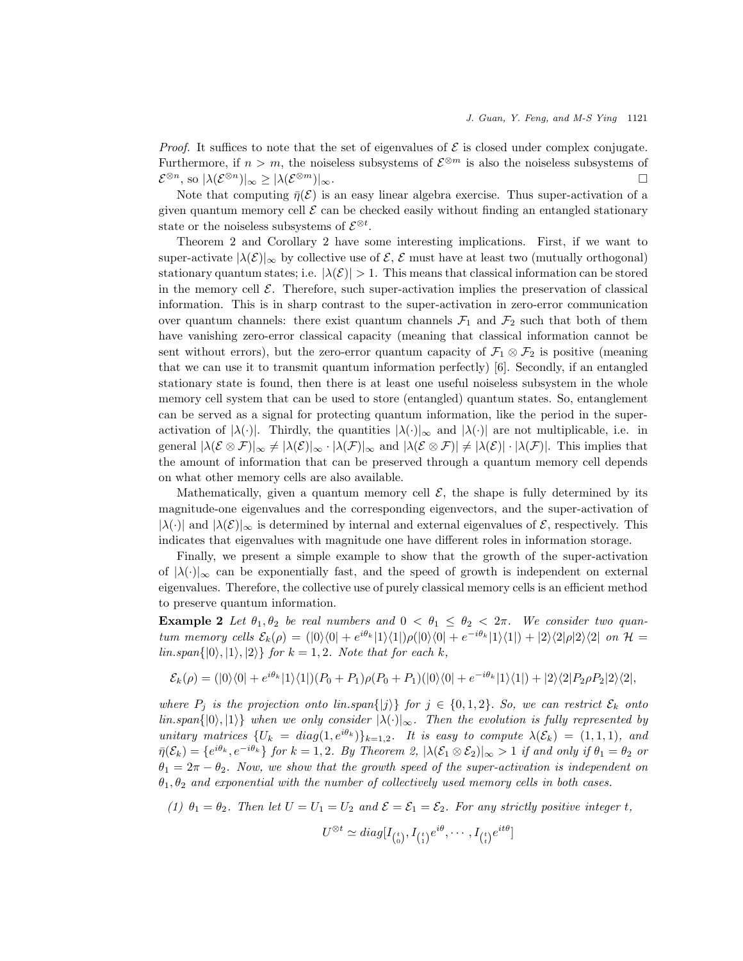*Proof.* It suffices to note that the set of eigenvalues of  $\mathcal{E}$  is closed under complex conjugate. Furthermore, if  $n > m$ , the noiseless subsystems of  $\mathcal{E}^{\otimes m}$  is also the noiseless subsystems of  $\mathcal{E}^{\otimes n}$ , so  $|\lambda(\mathcal{E}^{\otimes n})|_{\infty} \geq |\lambda(\mathcal{E}^{\otimes m})|_{\infty}$ .

Note that computing  $\bar{\eta}(\mathcal{E})$  is an easy linear algebra exercise. Thus super-activation of a given quantum memory cell  $\mathcal E$  can be checked easily without finding an entangled stationary state or the noiseless subsystems of  $\mathcal{E}^{\otimes t}$ .

Theorem 2 and Corollary 2 have some interesting implications. First, if we want to super-activate  $|\lambda(\mathcal{E})|_{\infty}$  by collective use of  $\mathcal{E}, \mathcal{E}$  must have at least two (mutually orthogonal) stationary quantum states; i.e.  $|\lambda(\mathcal{E})| > 1$ . This means that classical information can be stored in the memory cell  $\mathcal E$ . Therefore, such super-activation implies the preservation of classical information. This is in sharp contrast to the super-activation in zero-error communication over quantum channels: there exist quantum channels  $\mathcal{F}_1$  and  $\mathcal{F}_2$  such that both of them have vanishing zero-error classical capacity (meaning that classical information cannot be sent without errors), but the zero-error quantum capacity of  $\mathcal{F}_1 \otimes \mathcal{F}_2$  is positive (meaning that we can use it to transmit quantum information perfectly) [6]. Secondly, if an entangled stationary state is found, then there is at least one useful noiseless subsystem in the whole memory cell system that can be used to store (entangled) quantum states. So, entanglement can be served as a signal for protecting quantum information, like the period in the superactivation of  $|\lambda(\cdot)|$ . Thirdly, the quantities  $|\lambda(\cdot)|_{\infty}$  and  $|\lambda(\cdot)|$  are not multiplicable, i.e. in general  $|\lambda(\mathcal{E}\otimes\mathcal{F})|_{\infty}\neq |\lambda(\mathcal{E})|_{\infty}\cdot |\lambda(\mathcal{F})|_{\infty}$  and  $|\lambda(\mathcal{E}\otimes\mathcal{F})|\neq |\lambda(\mathcal{E})|\cdot |\lambda(\mathcal{F})|$ . This implies that the amount of information that can be preserved through a quantum memory cell depends on what other memory cells are also available.

Mathematically, given a quantum memory cell  $\mathcal{E}$ , the shape is fully determined by its magnitude-one eigenvalues and the corresponding eigenvectors, and the super-activation of  $|\lambda(\cdot)|$  and  $|\lambda(\mathcal{E})|_{\infty}$  is determined by internal and external eigenvalues of  $\mathcal{E}$ , respectively. This indicates that eigenvalues with magnitude one have different roles in information storage.

Finally, we present a simple example to show that the growth of the super-activation of  $|\lambda(\cdot)|_{\infty}$  can be exponentially fast, and the speed of growth is independent on external eigenvalues. Therefore, the collective use of purely classical memory cells is an efficient method to preserve quantum information.

**Example 2** Let  $\theta_1, \theta_2$  be real numbers and  $0 < \theta_1 \leq \theta_2 < 2\pi$ . We consider two quan*tum memory cells*  $\mathcal{E}_k(\rho) = (0 \setminus 0] + e^{i\theta_k} |1\rangle\langle 1|) \rho(|0\rangle\langle 0| + e^{-i\theta_k} |1\rangle\langle 1|) + |2\rangle\langle 2|\rho|2\rangle\langle 2|$  *on*  $\mathcal{H} =$  $\{lin.span\{|0\rangle, |1\rangle, |2\rangle\}$  *for*  $k = 1, 2$ *. Note that for each*  $k$ *,* 

$$
\mathcal{E}_k(\rho) = (|0\rangle\langle 0| + e^{i\theta_k} |1\rangle\langle 1|) (P_0 + P_1)\rho(P_0 + P_1)(|0\rangle\langle 0| + e^{-i\theta_k} |1\rangle\langle 1|) + |2\rangle\langle 2|P_2\rho P_2|2\rangle\langle 2|,
$$

*where*  $P_j$  *is the projection onto lin.span* $\{|j\rangle\}$  *for*  $j \in \{0, 1, 2\}$ *. So, we can restrict*  $\mathcal{E}_k$  *onto*  $\lim \{ |0\rangle, |1\rangle \}$  *when we only consider*  $|\lambda(\cdot)|_{\infty}$ *. Then the evolution is fully represented by unitary matrices*  $\{U_k = diag(1, e^{i\theta_k})\}_{k=1,2}$ *. It is easy to compute*  $\lambda(\mathcal{E}_k) = (1, 1, 1)$ *, and*  $\bar{\eta}(\mathcal{E}_k) = \{e^{i\theta_k}, e^{-i\theta_k}\}\$  for  $k = 1, 2$ . By Theorem 2,  $|\lambda(\mathcal{E}_1 \otimes \mathcal{E}_2)|_{\infty} > 1$  if and only if  $\theta_1 = \theta_2$  or  $\theta_1 = 2\pi - \theta_2$ . Now, we show that the growth speed of the super-activation is independent on  $\theta_1, \theta_2$  and exponential with the number of collectively used memory cells in both cases.

*(1)*  $\theta_1 = \theta_2$ *. Then let*  $U = U_1 = U_2$  *and*  $\mathcal{E} = \mathcal{E}_1 = \mathcal{E}_2$ *. For any strictly positive integer t,* 

$$
U^{\otimes t} \simeq diag[I_{\binom{t}{0}}, I_{\binom{t}{1}} e^{i\theta}, \cdots, I_{\binom{t}{t}} e^{it\theta}]
$$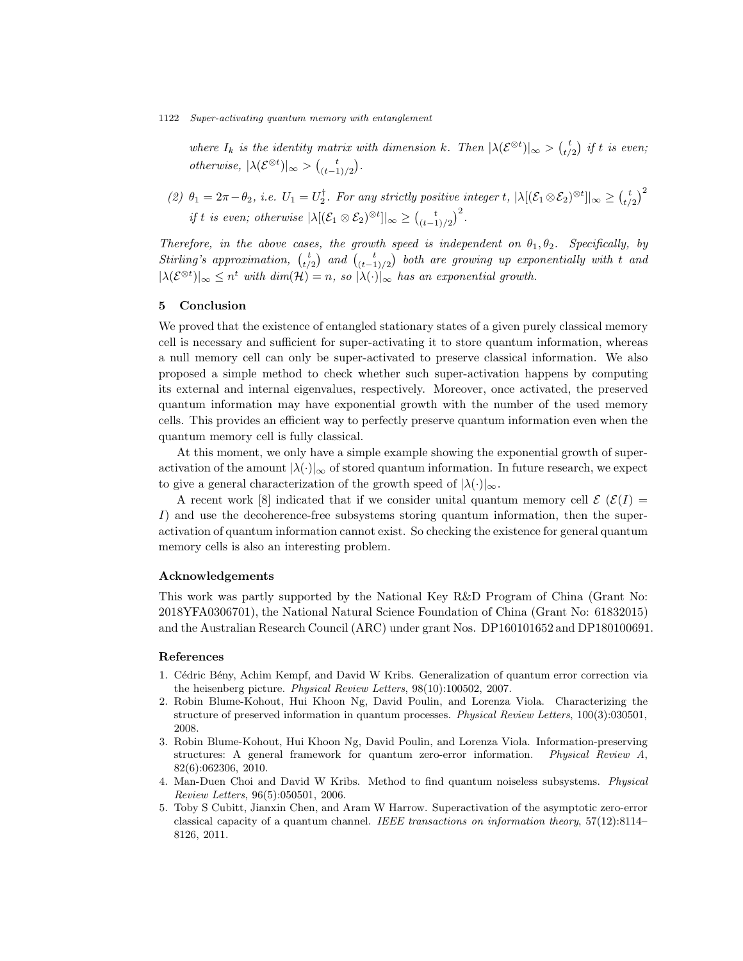*where*  $I_k$  *is the identity matrix with dimension*  $k$ *. Then*  $|\lambda(\mathcal{E}^{\otimes t})|_{\infty} > \binom{t}{t/2}$  *if*  $t$  *is even; otherwise*,  $|\lambda(\mathcal{E}^{\otimes t})|_{\infty} > {t \choose (t-1)/2}$ .

(2)  $\theta_1 = 2\pi - \theta_2$ , *i.e.*  $U_1 = U_2^{\dagger}$ . For any strictly positive integer t,  $|\lambda|(\mathcal{E}_1 \otimes \mathcal{E}_2)^{\otimes t}|_{\infty} \geq {t \choose t/2}^2$ *if t is even; otherwise*  $|\lambda|(\mathcal{E}_1 \otimes \mathcal{E}_2)^{\otimes t}]|_{\infty} \geq {t \choose (t-1)/2}^2$ .

*Therefore, in the above cases, the growth speed is independent on*  $\theta_1, \theta_2$ *. Specifically, by Stirling's approximation,*  $\begin{pmatrix} t \\ t/2 \end{pmatrix}$  and  $\begin{pmatrix} t \\ (t-1)/2 \end{pmatrix}$  both are growing up exponentially with t and  $|\lambda(\mathcal{E}^{\otimes t})|_{\infty} \leq n^t$  *with dim* $(\mathcal{H}) = n$ , so  $|\lambda(\cdot)|_{\infty}$  *has an exponential growth.* 

# 5 Conclusion

We proved that the existence of entangled stationary states of a given purely classical memory cell is necessary and sufficient for super-activating it to store quantum information, whereas a null memory cell can only be super-activated to preserve classical information. We also proposed a simple method to check whether such super-activation happens by computing its external and internal eigenvalues, respectively. Moreover, once activated, the preserved quantum information may have exponential growth with the number of the used memory cells. This provides an efficient way to perfectly preserve quantum information even when the quantum memory cell is fully classical.

At this moment, we only have a simple example showing the exponential growth of superactivation of the amount  $|\lambda(\cdot)|_{\infty}$  of stored quantum information. In future research, we expect to give a general characterization of the growth speed of  $|\lambda(\cdot)|_{\infty}$ .

A recent work [8] indicated that if we consider unital quantum memory cell  $\mathcal{E}(\mathcal{E}(I))$ I) and use the decoherence-free subsystems storing quantum information, then the superactivation of quantum information cannot exist. So checking the existence for general quantum memory cells is also an interesting problem.

## Acknowledgements

This work was partly supported by the National Key R&D Program of China (Grant No: 2018YFA0306701), the National Natural Science Foundation of China (Grant No: 61832015) and the Australian Research Council (ARC) under grant Nos. DP160101652 and DP180100691.

## References

- 1. Cédric Bény, Achim Kempf, and David W Kribs. Generalization of quantum error correction via the heisenberg picture. *Physical Review Letters*, 98(10):100502, 2007.
- 2. Robin Blume-Kohout, Hui Khoon Ng, David Poulin, and Lorenza Viola. Characterizing the structure of preserved information in quantum processes. *Physical Review Letters*, 100(3):030501, 2008.
- 3. Robin Blume-Kohout, Hui Khoon Ng, David Poulin, and Lorenza Viola. Information-preserving structures: A general framework for quantum zero-error information. *Physical Review A*, 82(6):062306, 2010.
- 4. Man-Duen Choi and David W Kribs. Method to find quantum noiseless subsystems. *Physical Review Letters*, 96(5):050501, 2006.
- 5. Toby S Cubitt, Jianxin Chen, and Aram W Harrow. Superactivation of the asymptotic zero-error classical capacity of a quantum channel. *IEEE transactions on information theory*, 57(12):8114– 8126, 2011.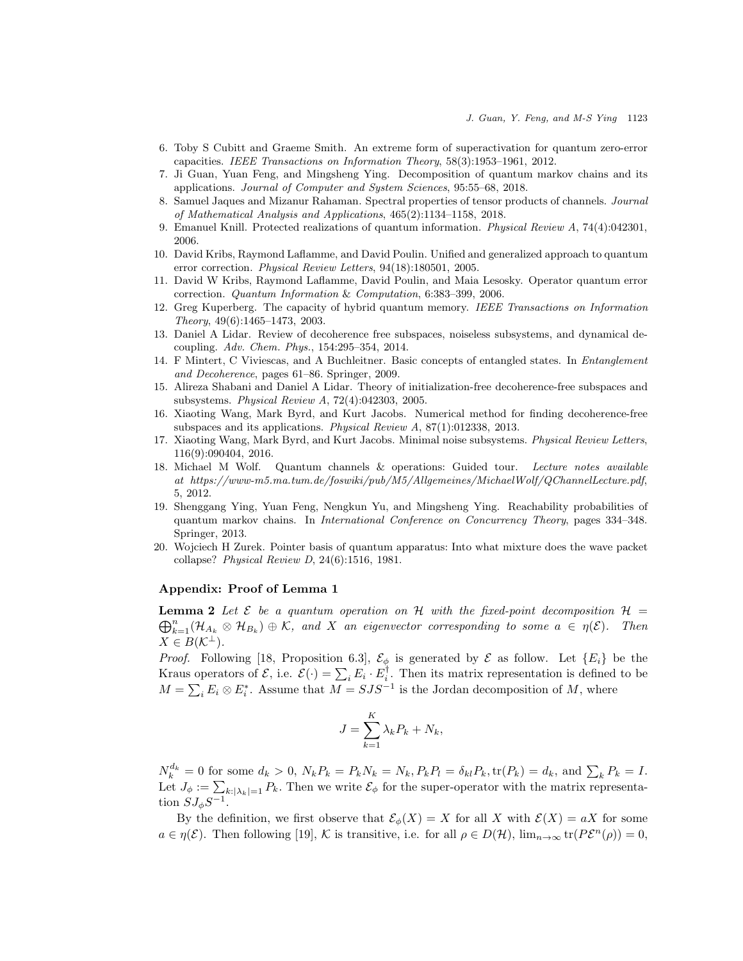- 6. Toby S Cubitt and Graeme Smith. An extreme form of superactivation for quantum zero-error capacities. *IEEE Transactions on Information Theory*, 58(3):1953–1961, 2012.
- 7. Ji Guan, Yuan Feng, and Mingsheng Ying. Decomposition of quantum markov chains and its applications. *Journal of Computer and System Sciences*, 95:55–68, 2018.
- 8. Samuel Jaques and Mizanur Rahaman. Spectral properties of tensor products of channels. *Journal of Mathematical Analysis and Applications*, 465(2):1134–1158, 2018.
- 9. Emanuel Knill. Protected realizations of quantum information. *Physical Review A*, 74(4):042301, 2006.
- 10. David Kribs, Raymond Laflamme, and David Poulin. Unified and generalized approach to quantum error correction. *Physical Review Letters*, 94(18):180501, 2005.
- 11. David W Kribs, Raymond Laflamme, David Poulin, and Maia Lesosky. Operator quantum error correction. *Quantum Information* & *Computation*, 6:383–399, 2006.
- 12. Greg Kuperberg. The capacity of hybrid quantum memory. *IEEE Transactions on Information Theory*, 49(6):1465–1473, 2003.
- 13. Daniel A Lidar. Review of decoherence free subspaces, noiseless subsystems, and dynamical decoupling. *Adv. Chem. Phys.*, 154:295–354, 2014.
- 14. F Mintert, C Viviescas, and A Buchleitner. Basic concepts of entangled states. In *Entanglement and Decoherence*, pages 61–86. Springer, 2009.
- 15. Alireza Shabani and Daniel A Lidar. Theory of initialization-free decoherence-free subspaces and subsystems. *Physical Review A*, 72(4):042303, 2005.
- 16. Xiaoting Wang, Mark Byrd, and Kurt Jacobs. Numerical method for finding decoherence-free subspaces and its applications. *Physical Review A*, 87(1):012338, 2013.
- 17. Xiaoting Wang, Mark Byrd, and Kurt Jacobs. Minimal noise subsystems. *Physical Review Letters*, 116(9):090404, 2016.
- 18. Michael M Wolf. Quantum channels & operations: Guided tour. *Lecture notes available at https://www-m5.ma.tum.de/foswiki/pub/M5/Allgemeines/MichaelWolf/QChannelLecture.pdf*, 5, 2012.
- 19. Shenggang Ying, Yuan Feng, Nengkun Yu, and Mingsheng Ying. Reachability probabilities of quantum markov chains. In *International Conference on Concurrency Theory*, pages 334–348. Springer, 2013.
- 20. Wojciech H Zurek. Pointer basis of quantum apparatus: Into what mixture does the wave packet collapse? *Physical Review D*, 24(6):1516, 1981.

# Appendix: Proof of Lemma 1

 $\bigoplus_{k=1}^n(\mathcal{H}_{A_k}\otimes\mathcal{H}_{B_k})\oplus\mathcal{K}$ , and X an eigenvector corresponding to some  $a\in\eta(\mathcal{E})$ . Then **Lemma 2** Let  $\mathcal{E}$  be a quantum operation on  $\mathcal{H}$  with the fixed-point decomposition  $\mathcal{H}$  =  $X \in B(\mathcal{K}^{\perp}).$ 

*Proof.* Following [18, Proposition 6.3],  $\mathcal{E}_{\phi}$  is generated by  $\mathcal{E}$  as follow. Let  $\{E_i\}$  be the Kraus operators of  $\mathcal{E}$ , i.e.  $\mathcal{E}(\cdot) = \sum_i E_i \cdot E_i^{\dagger}$ . Then its matrix representation is defined to be  $M = \sum_i E_i \otimes E_i^*$ . Assume that  $M = SJS^{-1}$  is the Jordan decomposition of M, where

$$
J = \sum_{k=1}^{K} \lambda_k P_k + N_k,
$$

 $N_k^{d_k} = 0$  for some  $d_k > 0$ ,  $N_k P_k = P_k N_k = N_k$ ,  $P_k P_l = \delta_{kl} P_k$ ,  $\text{tr}(P_k) = d_k$ , and  $\sum_k P_k = I$ . Let  $J_{\phi} := \sum_{k:|\lambda_k|=1} P_k$ . Then we write  $\mathcal{E}_{\phi}$  for the super-operator with the matrix representation  $SJ_{\phi}S^{-1}$ .

By the definition, we first observe that  $\mathcal{E}_{\phi}(X) = X$  for all X with  $\mathcal{E}(X) = aX$  for some  $a \in \eta(\mathcal{E})$ . Then following [19], K is transitive, i.e. for all  $\rho \in D(\mathcal{H})$ ,  $\lim_{n\to\infty} \text{tr}(P\mathcal{E}^n(\rho)) = 0$ ,